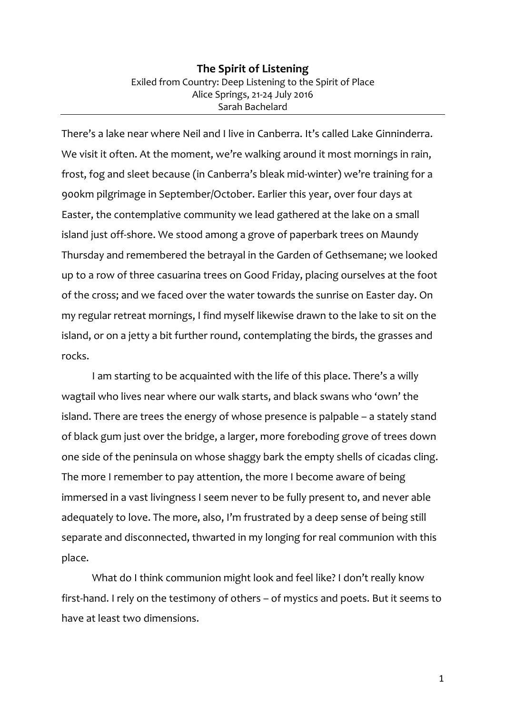## **The Spirit of Listening** Exiled from Country: Deep Listening to the Spirit of Place Alice Springs, 21-24 July 2016 Sarah Bachelard

There's a lake near where Neil and I live in Canberra. It's called Lake Ginninderra. We visit it often. At the moment, we're walking around it most mornings in rain, frost, fog and sleet because (in Canberra's bleak mid-winter) we're training for a 900km pilgrimage in September/October. Earlier this year, over four days at Easter, the contemplative community we lead gathered at the lake on a small island just off-shore. We stood among a grove of paperbark trees on Maundy Thursday and remembered the betrayal in the Garden of Gethsemane; we looked up to a row of three casuarina trees on Good Friday, placing ourselves at the foot of the cross; and we faced over the water towards the sunrise on Easter day. On my regular retreat mornings, I find myself likewise drawn to the lake to sit on the island, or on a jetty a bit further round, contemplating the birds, the grasses and rocks.

I am starting to be acquainted with the life of this place. There's a willy wagtail who lives near where our walk starts, and black swans who 'own' the island. There are trees the energy of whose presence is palpable – a stately stand of black gum just over the bridge, a larger, more foreboding grove of trees down one side of the peninsula on whose shaggy bark the empty shells of cicadas cling. The more I remember to pay attention, the more I become aware of being immersed in a vast livingness I seem never to be fully present to, and never able adequately to love. The more, also, I'm frustrated by a deep sense of being still separate and disconnected, thwarted in my longing for real communion with this place.

What do I think communion might look and feel like? I don't really know first-hand. I rely on the testimony of others – of mystics and poets. But it seems to have at least two dimensions.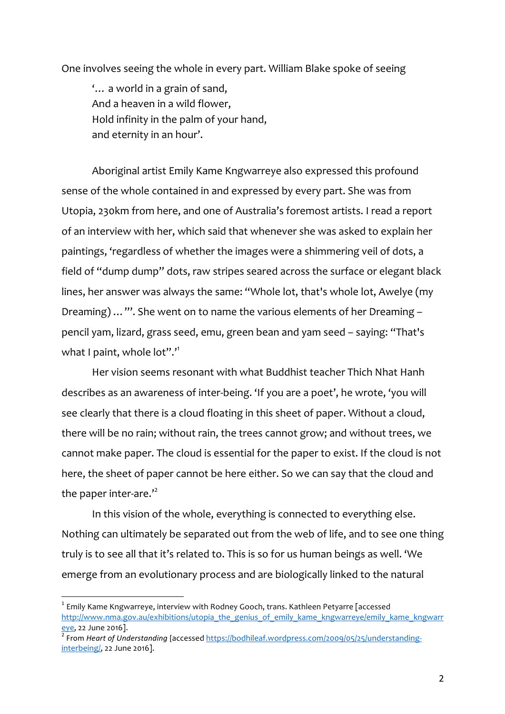One involves seeing the whole in every part. William Blake spoke of seeing

'… a world in a grain of sand, And a heaven in a wild flower, Hold infinity in the palm of your hand, and eternity in an hour'.

Aboriginal artist Emily Kame Kngwarreye also expressed this profound sense of the whole contained in and expressed by every part. She was from Utopia, 230km from here, and one of Australia's foremost artists. I read a report of an interview with her, which said that whenever she was asked to explain her paintings, 'regardless of whether the images were a shimmering veil of dots, a field of "dump dump" dots, raw stripes seared across the surface or elegant black lines, her answer was always the same: "Whole lot, that's whole lot, Awelye (my Dreaming) …"'. She went on to name the various elements of her Dreaming – pencil yam, lizard, grass seed, emu, green bean and yam seed – saying: "That's what I paint, whole lot".<sup>"</sup>

Her vision seems resonant with what Buddhist teacher Thich Nhat Hanh describes as an awareness of inter-being. 'If you are a poet', he wrote, 'you will see clearly that there is a cloud floating in this sheet of paper. Without a cloud, there will be no rain; without rain, the trees cannot grow; and without trees, we cannot make paper. The cloud is essential for the paper to exist. If the cloud is not here, the sheet of paper cannot be here either. So we can say that the cloud and the paper inter-are."

In this vision of the whole, everything is connected to everything else. Nothing can ultimately be separated out from the web of life, and to see one thing truly is to see all that it's related to. This is so for us human beings as well. 'We emerge from an evolutionary process and are biologically linked to the natural

 $1$  Emily Kame Kngwarreye, interview with Rodney Gooch, trans. Kathleen Petyarre [accessed http://www.nma.gov.au/exhibitions/utopia\_the\_genius\_of\_emily\_kame\_kngwarreye/emily\_kame\_kngwarreye/emily\_kame\_kngwarreye/emily\_kame\_kngwarreye/emily\_kame\_kngwarreye/emily\_kame\_kngwarreye/emily\_kame\_kngwarreye/emily\_kame\_kn

<sup>&</sup>lt;sup>2</sup> From *Heart of Understanding* [accessed https://bodhileaf.wordpress.com/2009/05/25/understandinginterbeing/, 22 June 2016].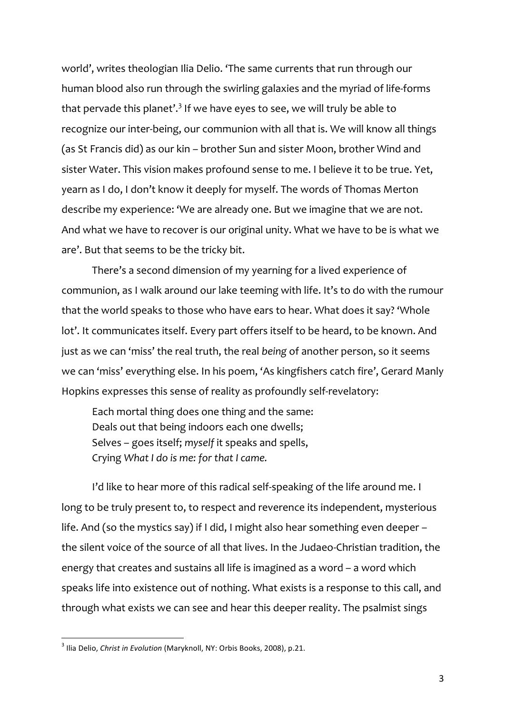world', writes theologian Ilia Delio. 'The same currents that run through our human blood also run through the swirling galaxies and the myriad of life-forms that pervade this planet'.<sup>3</sup> If we have eyes to see, we will truly be able to recognize our inter-being, our communion with all that is. We will know all things (as St Francis did) as our kin – brother Sun and sister Moon, brother Wind and sister Water. This vision makes profound sense to me. I believe it to be true. Yet, yearn as I do, I don't know it deeply for myself. The words of Thomas Merton describe my experience: 'We are already one. But we imagine that we are not. And what we have to recover is our original unity. What we have to be is what we are'. But that seems to be the tricky bit.

There's a second dimension of my yearning for a lived experience of communion, as I walk around our lake teeming with life. It's to do with the rumour that the world speaks to those who have ears to hear. What does it say? 'Whole lot'. It communicates itself. Every part offers itself to be heard, to be known. And just as we can 'miss' the real truth, the real *being* of another person, so it seems we can 'miss' everything else. In his poem, 'As kingfishers catch fire', Gerard Manly Hopkins expresses this sense of reality as profoundly self-revelatory:

Each mortal thing does one thing and the same: Deals out that being indoors each one dwells; Selves – goes itself; *myself* it speaks and spells, Crying *What I do is me: for that I came.*

I'd like to hear more of this radical self-speaking of the life around me. I long to be truly present to, to respect and reverence its independent, mysterious life. And (so the mystics say) if I did, I might also hear something even deeper – the silent voice of the source of all that lives. In the Judaeo-Christian tradition, the energy that creates and sustains all life is imagined as a word – a word which speaks life into existence out of nothing. What exists is a response to this call, and through what exists we can see and hear this deeper reality. The psalmist sings

<sup>&</sup>lt;sup>3</sup> Ilia Delio, *Christ in Evolution* (Maryknoll, NY: Orbis Books, 2008), p.21.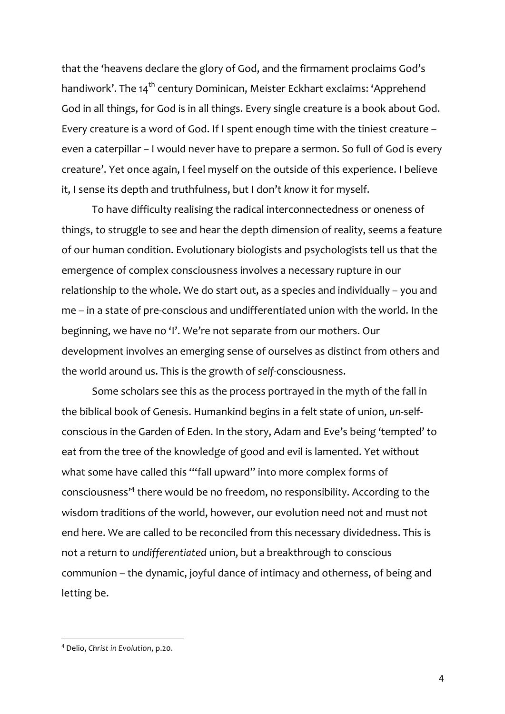that the 'heavens declare the glory of God, and the firmament proclaims God's handiwork'. The 14<sup>th</sup> century Dominican, Meister Eckhart exclaims: 'Apprehend God in all things, for God is in all things. Every single creature is a book about God. Every creature is a word of God. If I spent enough time with the tiniest creature – even a caterpillar – I would never have to prepare a sermon. So full of God is every creature'. Yet once again, I feel myself on the outside of this experience. I believe it, I sense its depth and truthfulness, but I don't *know* it for myself.

To have difficulty realising the radical interconnectedness or oneness of things, to struggle to see and hear the depth dimension of reality, seems a feature of our human condition. Evolutionary biologists and psychologists tell us that the emergence of complex consciousness involves a necessary rupture in our relationship to the whole. We do start out, as a species and individually – you and me – in a state of pre-conscious and undifferentiated union with the world. In the beginning, we have no 'I'. We're not separate from our mothers. Our development involves an emerging sense of ourselves as distinct from others and the world around us. This is the growth of *self*-consciousness.

Some scholars see this as the process portrayed in the myth of the fall in the biblical book of Genesis. Humankind begins in a felt state of union, *un*-selfconscious in the Garden of Eden. In the story, Adam and Eve's being 'tempted' to eat from the tree of the knowledge of good and evil is lamented. Yet without what some have called this '"fall upward" into more complex forms of consciousness' <sup>4</sup> there would be no freedom, no responsibility. According to the wisdom traditions of the world, however, our evolution need not and must not end here. We are called to be reconciled from this necessary dividedness. This is not a return to *undifferentiated* union, but a breakthrough to conscious communion – the dynamic, joyful dance of intimacy and otherness, of being and letting be.

<sup>4</sup> Delio, *Christ in Evolution*, p.20.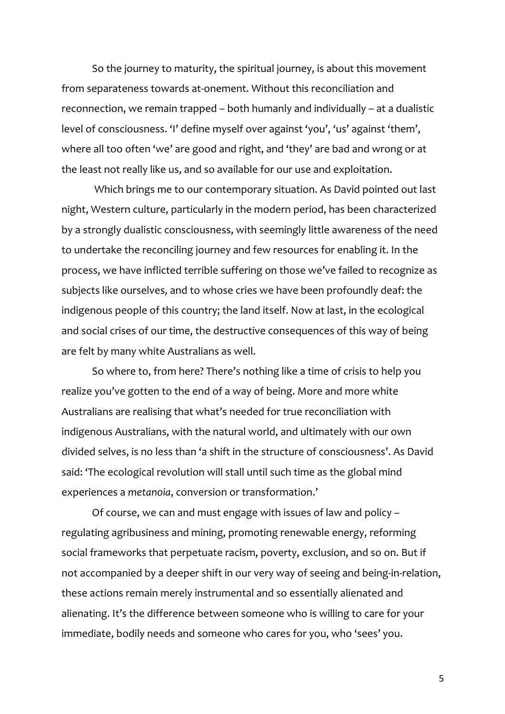So the journey to maturity, the spiritual journey, is about this movement from separateness towards at-onement. Without this reconciliation and reconnection, we remain trapped – both humanly and individually – at a dualistic level of consciousness. 'I' define myself over against 'you', 'us' against 'them', where all too often 'we' are good and right, and 'they' are bad and wrong or at the least not really like us, and so available for our use and exploitation.

Which brings me to our contemporary situation. As David pointed out last night, Western culture, particularly in the modern period, has been characterized by a strongly dualistic consciousness, with seemingly little awareness of the need to undertake the reconciling journey and few resources for enabling it. In the process, we have inflicted terrible suffering on those we've failed to recognize as subjects like ourselves, and to whose cries we have been profoundly deaf: the indigenous people of this country; the land itself. Now at last, in the ecological and social crises of our time, the destructive consequences of this way of being are felt by many white Australians as well.

So where to, from here? There's nothing like a time of crisis to help you realize you've gotten to the end of a way of being. More and more white Australians are realising that what's needed for true reconciliation with indigenous Australians, with the natural world, and ultimately with our own divided selves, is no less than 'a shift in the structure of consciousness'. As David said: 'The ecological revolution will stall until such time as the global mind experiences a *metanoia*, conversion or transformation.'

Of course, we can and must engage with issues of law and policy – regulating agribusiness and mining, promoting renewable energy, reforming social frameworks that perpetuate racism, poverty, exclusion, and so on. But if not accompanied by a deeper shift in our very way of seeing and being-in-relation, these actions remain merely instrumental and so essentially alienated and alienating. It's the difference between someone who is willing to care for your immediate, bodily needs and someone who cares for you, who 'sees' you.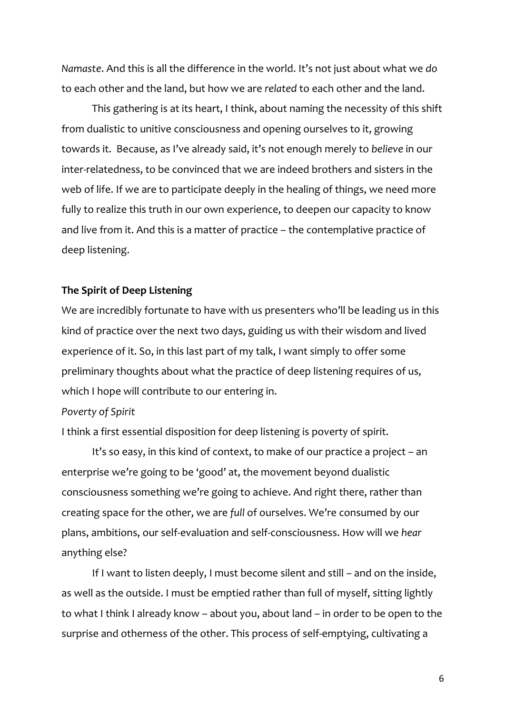*Namaste*. And this is all the difference in the world. It's not just about what we *do* to each other and the land, but how we are *related* to each other and the land.

This gathering is at its heart, I think, about naming the necessity of this shift from dualistic to unitive consciousness and opening ourselves to it, growing towards it. Because, as I've already said, it's not enough merely to *believe* in our inter-relatedness, to be convinced that we are indeed brothers and sisters in the web of life. If we are to participate deeply in the healing of things, we need more fully to realize this truth in our own experience, to deepen our capacity to know and live from it. And this is a matter of practice – the contemplative practice of deep listening.

### **The Spirit of Deep Listening**

We are incredibly fortunate to have with us presenters who'll be leading us in this kind of practice over the next two days, guiding us with their wisdom and lived experience of it. So, in this last part of my talk, I want simply to offer some preliminary thoughts about what the practice of deep listening requires of us, which I hope will contribute to our entering in.

#### *Poverty of Spirit*

I think a first essential disposition for deep listening is poverty of spirit.

It's so easy, in this kind of context, to make of our practice a project – an enterprise we're going to be 'good' at, the movement beyond dualistic consciousness something we're going to achieve. And right there, rather than creating space for the other, we are *full* of ourselves. We're consumed by our plans, ambitions, our self-evaluation and self-consciousness. How will we *hear* anything else?

If I want to listen deeply, I must become silent and still – and on the inside, as well as the outside. I must be emptied rather than full of myself, sitting lightly to what I think I already know – about you, about land – in order to be open to the surprise and otherness of the other. This process of self-emptying, cultivating a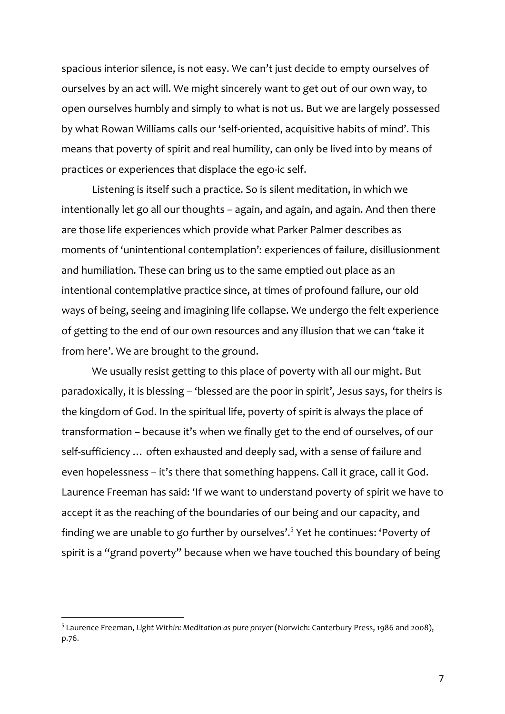spacious interior silence, is not easy. We can't just decide to empty ourselves of ourselves by an act will. We might sincerely want to get out of our own way, to open ourselves humbly and simply to what is not us. But we are largely possessed by what Rowan Williams calls our 'self-oriented, acquisitive habits of mind'. This means that poverty of spirit and real humility, can only be lived into by means of practices or experiences that displace the ego-ic self.

Listening is itself such a practice. So is silent meditation, in which we intentionally let go all our thoughts – again, and again, and again. And then there are those life experiences which provide what Parker Palmer describes as moments of 'unintentional contemplation': experiences of failure, disillusionment and humiliation. These can bring us to the same emptied out place as an intentional contemplative practice since, at times of profound failure, our old ways of being, seeing and imagining life collapse. We undergo the felt experience of getting to the end of our own resources and any illusion that we can 'take it from here'. We are brought to the ground.

We usually resist getting to this place of poverty with all our might. But paradoxically, it is blessing – 'blessed are the poor in spirit', Jesus says, for theirs is the kingdom of God. In the spiritual life, poverty of spirit is always the place of transformation – because it's when we finally get to the end of ourselves, of our self-sufficiency … often exhausted and deeply sad, with a sense of failure and even hopelessness – it's there that something happens. Call it grace, call it God. Laurence Freeman has said: 'If we want to understand poverty of spirit we have to accept it as the reaching of the boundaries of our being and our capacity, and finding we are unable to go further by ourselves'.<sup>5</sup> Yet he continues: 'Poverty of spirit is a "grand poverty" because when we have touched this boundary of being

<sup>5</sup> Laurence Freeman, *Light Within: Meditation as pure prayer* (Norwich: Canterbury Press, 1986 and 2008), p.76.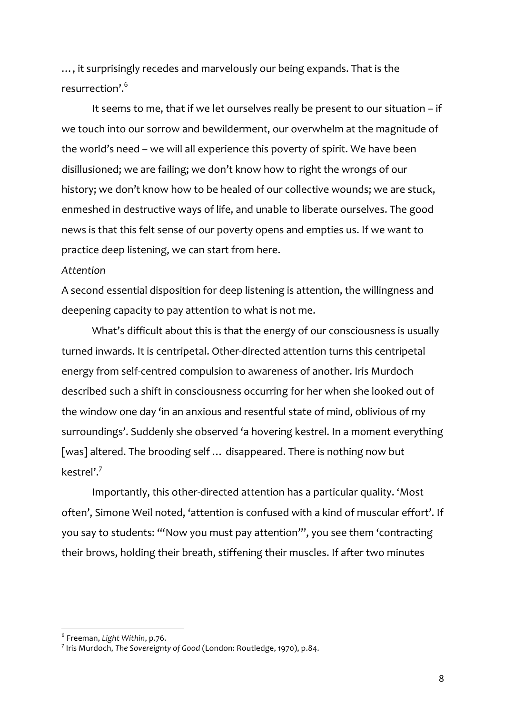…, it surprisingly recedes and marvelously our being expands. That is the resurrection'.6

It seems to me, that if we let ourselves really be present to our situation – if we touch into our sorrow and bewilderment, our overwhelm at the magnitude of the world's need – we will all experience this poverty of spirit. We have been disillusioned; we are failing; we don't know how to right the wrongs of our history; we don't know how to be healed of our collective wounds; we are stuck, enmeshed in destructive ways of life, and unable to liberate ourselves. The good news is that this felt sense of our poverty opens and empties us. If we want to practice deep listening, we can start from here.

### *Attention*

A second essential disposition for deep listening is attention, the willingness and deepening capacity to pay attention to what is not me.

What's difficult about this is that the energy of our consciousness is usually turned inwards. It is centripetal. Other-directed attention turns this centripetal energy from self-centred compulsion to awareness of another. Iris Murdoch described such a shift in consciousness occurring for her when she looked out of the window one day 'in an anxious and resentful state of mind, oblivious of my surroundings'. Suddenly she observed 'a hovering kestrel. In a moment everything [was] altered. The brooding self ... disappeared. There is nothing now but kestrel'.7

Importantly, this other-directed attention has a particular quality. 'Most often', Simone Weil noted, 'attention is confused with a kind of muscular effort'. If you say to students: '"Now you must pay attention"', you see them 'contracting their brows, holding their breath, stiffening their muscles. If after two minutes

<sup>6</sup> Freeman, *Light Within*, p.76.

<sup>7</sup> Iris Murdoch, *The Sovereignty of Good* (London: Routledge, 1970), p.84.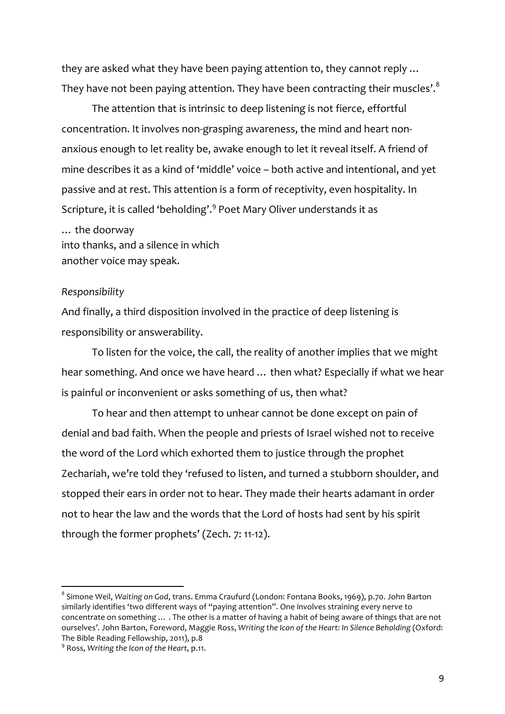they are asked what they have been paying attention to, they cannot reply … They have not been paying attention. They have been contracting their muscles'.<sup>8</sup>

The attention that is intrinsic to deep listening is not fierce, effortful concentration. It involves non-grasping awareness, the mind and heart nonanxious enough to let reality be, awake enough to let it reveal itself. A friend of mine describes it as a kind of 'middle' voice – both active and intentional, and yet passive and at rest. This attention is a form of receptivity, even hospitality. In Scripture, it is called 'beholding'.<sup>9</sup> Poet Mary Oliver understands it as

… the doorway into thanks, and a silence in which another voice may speak.

### *Responsibility*

And finally, a third disposition involved in the practice of deep listening is responsibility or answerability.

To listen for the voice, the call, the reality of another implies that we might hear something. And once we have heard … then what? Especially if what we hear is painful or inconvenient or asks something of us, then what?

To hear and then attempt to unhear cannot be done except on pain of denial and bad faith. When the people and priests of Israel wished not to receive the word of the Lord which exhorted them to justice through the prophet Zechariah, we're told they 'refused to listen, and turned a stubborn shoulder, and stopped their ears in order not to hear. They made their hearts adamant in order not to hear the law and the words that the Lord of hosts had sent by his spirit through the former prophets' (Zech. 7: 11-12).

<sup>8</sup> Simone Weil, *Waiting on God*, trans. Emma Craufurd (London: Fontana Books, 1969), p.70. John Barton similarly identifies 'two different ways of "paying attention". One involves straining every nerve to concentrate on something … . The other is a matter of having a habit of being aware of things that are not ourselves'. John Barton, Foreword, Maggie Ross, *Writing the Icon of the Heart: In Silence Beholding* (Oxford: The Bible Reading Fellowship, 2011), p.8

<sup>9</sup> Ross, *Writing the Icon of the Heart*, p.11.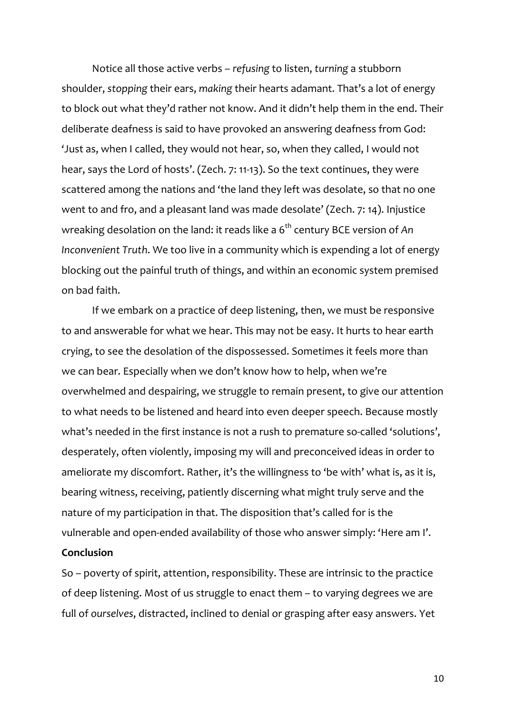Notice all those active verbs – *refusing* to listen, *turning* a stubborn shoulder, *stopping* their ears, *making* their hearts adamant. That's a lot of energy to block out what they'd rather not know. And it didn't help them in the end. Their deliberate deafness is said to have provoked an answering deafness from God: 'Just as, when I called, they would not hear, so, when they called, I would not hear, says the Lord of hosts'. (Zech. 7: 11-13). So the text continues, they were scattered among the nations and 'the land they left was desolate, so that no one went to and fro, and a pleasant land was made desolate' (Zech. 7: 14). Injustice wreaking desolation on the land: it reads like a 6<sup>th</sup> century BCE version of An *Inconvenient Truth*. We too live in a community which is expending a lot of energy blocking out the painful truth of things, and within an economic system premised on bad faith.

If we embark on a practice of deep listening, then, we must be responsive to and answerable for what we hear. This may not be easy. It hurts to hear earth crying, to see the desolation of the dispossessed. Sometimes it feels more than we can bear. Especially when we don't know how to help, when we're overwhelmed and despairing, we struggle to remain present, to give our attention to what needs to be listened and heard into even deeper speech. Because mostly what's needed in the first instance is not a rush to premature so-called 'solutions', desperately, often violently, imposing my will and preconceived ideas in order to ameliorate my discomfort. Rather, it's the willingness to 'be with' what is, as it is, bearing witness, receiving, patiently discerning what might truly serve and the nature of my participation in that. The disposition that's called for is the vulnerable and open-ended availability of those who answer simply: 'Here am I'.

# **Conclusion**

So – poverty of spirit, attention, responsibility. These are intrinsic to the practice of deep listening. Most of us struggle to enact them – to varying degrees we are full of *ourselves*, distracted, inclined to denial or grasping after easy answers. Yet